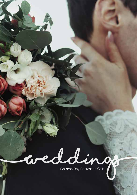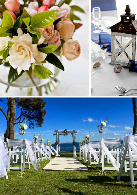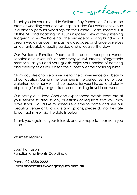**(welcome)**

Thank you for your interest in Wallarah Bay Recreation Club as the premier wedding venue for your special day. Our waterfront venue is a hidden gem for weddings on the Central Coast, located just off the M1 and boasting an 180° unspoiled view of the glistening Tuggerah Lakes. We have had the privilege of hosting hundreds of dream weddings over the past few decades, and pride ourselves on our unbeatable quality service and of course, the view.

Our Wallarah Function Room is the perfect reception venue. Located on our venue's second storey, you will create unforgettable memories as you and your guests enjoy your choice of catering and beverages as you watch the sunset over the sparkling lakes.

Many couples choose our venue for the convenience and beauty of our location. Our pristine foreshore is the perfect setting for your waterfront ceremony, with direct access for your hire car and plenty of parking for all your guests, and no hassling travel in-between.

Our prestigious Head Chef and experienced events team are at your service to discuss any questions or requests that you may have. If you would like to schedule a time to come and see our beautiful venue or to discuss any options, please do not hesitate to contact myself via the details below.

Thank you again for your interest, and we hope to hear from you soon.

Warmest regards,

Jess Thompson Function and Events Coordinator

Phone **02 4356 2222** Email dishevents@wyongleagues.com.au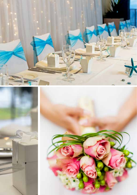

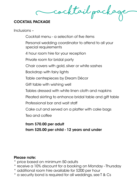**(cocktail package)**

# COCKTAIL PACKAGE

Inclusions –

Cocktail menu - a selection of five items

Personal wedding coordinator to attend to all your special requirements

4 hour room hire for your reception

Private room for bridal party

Chair covers with gold, silver or white sashes

Backdrop with fairy lights

Table centrepieces by Dream Décor

Gift table with wishing well

Tables dressed with white linen cloth and napkins

Pleated skirting to enhance bridal table and gift table

Professional bar and wait staff

Cake cut and served on a platter with cake bags

Tea and coffee

from \$70.00 per adult from \$25.00 per child - 12 years and under

- \* price based on minimum 50 adults
- \* receive a 10% discount for a booking on Monday Thursday
- \* additional room hire available for \$200 per hour
- \* a security bond is required for all weddings, see T & Cs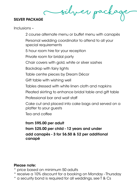**(Silver package)**

# SILVER PACKAGE

Inclusions –

2 course alternate menu or buffet menu with canapès

Personal wedding coordinator to attend to all your special requirements

5 hour room hire for your reception

Private room for bridal party

Chair covers with gold, white or silver sashes

Backdrop with fairy lights

Table centre pieces by Dream Décor

Gift table with wishing well

Tables dressed with white linen cloth and napkins

Pleated skirting to enhance bridal table and gift table

Professional bar and wait staff

Cake cut and placed into cake bags and served on a platter to your guests

Tea and coffee

from \$95.00 per adult from \$25.00 per child - 12 years and under add canapès - 3 for \$6.50 & \$2 per additional canapè

- price based on minimum 50 adults
- \* receive a 10% discount for a booking on Monday Thursday
- \* a security bond is required for all weddings, see T & Cs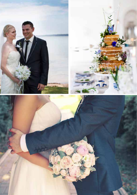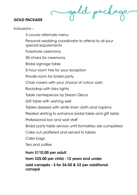# GOLD PACKAGE

**(gold package)**

Inclusions –

3 course alternate menu Personal wedding coordinator to attend to all your special requirements Foreshore ceremony 50 chairs for ceremony Bridal signage table 5 hour room hire for your reception Private room for bridal party Chair covers with your choice of colour sash Backdrop with fairy lights Table centrepieces by Dream Décor Gift table with wishing well Tables dressed with white linen cloth and napkins Pleated skirting to enhance bridal table and gift table Professional bar and wait staff Bridal party table service until formalities are completed Cake cut, plattered and served to tables Cake bags Tea and coffee from \$110.00 per adult from \$25.00 per child - 12 years and under

add canapès - 3 for \$6.50 & \$2 per additional canapè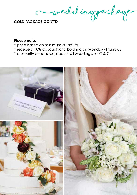**(wedding package)**

# GOLD PACKAGE CONT'D

- \* price based on minimum 50 adults
- \* receive a 10% discount for a booking on Monday Thursday
- \* a security bond is required for all weddings, see T & Cs

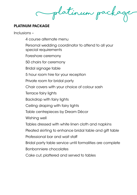**(platinum package)**

# PLATINUM PACKAGE

Inclusions –

4 course alternate menu Personal wedding coordinator to attend to all your special requirements Foreshore ceremony 50 chairs for ceremony Bridal signage table 5 hour room hire for your reception Private room for bridal party Chair covers with your choice of colour sash Terrace fairy lights Backdrop with fairy lights Ceiling draping with fairy lights Table centrepieces by Dream Décor Wishing well Tables dressed with white linen cloth and napkins Pleated skirting to enhance bridal table and gift table Professional bar and wait staff Bridal party table service until formalities are complete Bonbonniere chocolates Cake cut, plattered and served to tables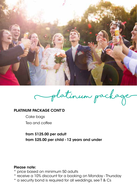

**(Platinum package)**

#### PLATINUM PACKAGE CONT'D

Cake bags

Tea and coffee

# from \$125.00 per adult from \$25.00 per child - 12 years and under

- \* price based on minimum 50 adults
- \* receive a 10% discount for a booking on Monday Thursday
- \* a security bond is required for all weddings, see T & Cs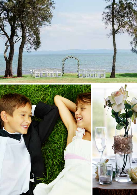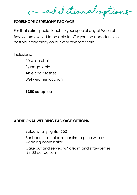**(additional options)**

# FORESHORE CEREMONY PACKAGE

For that extra special touch to your special day at Wallarah Bay, we are excited to be able to offer you the opportunity to host your ceremony on our very own foreshore.

Inclusions:

50 white chairs Signage table Aisle chair sashes Wet weather location

\$300 setup fee

# ADDITIONAL WEDDING PACKAGE OPTIONS

Balcony fairy lights - \$50

Bonbonnieres - please confirm a price with our wedding coordinator

Cake cut and served w/ cream and strawberries -\$3.00 per person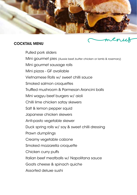

**(menus)**

# COCKTAIL MENU

# Pulled pork sliders Mini gourmet pies (Aussie beef, butter chicken or lamb & rosemary) Mini gourmet sausage rolls Mini pizzas - GF available Vietnamese Rolls w/ sweet chilli sauce Smoked salmon croquettes Truffled mushroom & Parmesan Arancini balls Mini wagyu beef burgers w/ aioli Chilli lime chicken satay skewers Salt & lemon pepper squid Japanese chicken skewers Anti-pasto vegetable skewer Duck spring rolls w/ soy & sweet chilli dressing Prawn dumplings Creamy vegetable calzone Smoked mozzarella croquette Chicken curry puffs Italian beef meatballs w/ Napolitana sauce Goats cheese & spinach quiche Assorted deluxe sushi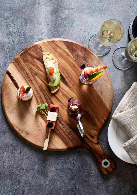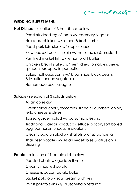**(menus)**

#### WEDDING BUFFET MENU

Hot Dishes - selection of 3 hot dishes below

Roast studded leg of lamb w/ rosemary & garlic

Half roast chicken w/ lemon & fresh herbs

Roast pork loin steak w/ apple sauce

Slow cooked beef striploin w/ horseradish & mustard

Pan fried market fish w/ lemon & dill butter

Chicken breast stuffed w/ semi dried tomatoes, brie & spinach, wrapped in pancetta

Baked half capsicums w/ brown rice, black beans & Mediterranean vegetables

Homemade beef lasagne

#### Salads - selection of 3 salads below

Asian coleslaw

Greek salad, cherry tomatoes, sliced cucumbers, onion, fetta cheese & olives

Tossed garden salad w/ balsamic dressing

Traditional Caesar salad, cos lettuce, bacon, soft boiled egg, parmesan cheese & croutons

Creamy potato salad w/ shallots & crisp pancetta

Thai beef noodles w/ Asian vegetables & citrus chilli dressing

#### **Potato** - selection of 1 potato dish below

Roasted chats w/ garlic & thyme

Creamy mashed potato

Cheese & bacon potato bake

Jacket potato w/ sour cream & chives

Roast potato skins w/ bruschetta & feta mix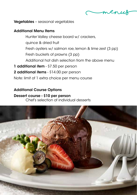**(menus)**

#### Vegetables – seasonal vegetables

#### Additional Menu Items

Hunter Valley cheese board w/ crackers, quince & dried fruit Fresh oysters w/ salmon roe, lemon & lime zest (3 pp) Fresh buckets of prawns (3 pp) Additional hot dish selection from the above menu 1 additional item - \$7.50 per person 2 additional items - \$14.00 per person Note: limit of 1 extra choice per menu course

#### Additional Course Options

#### Dessert course - \$10 per person

Chef's selection of individual desserts

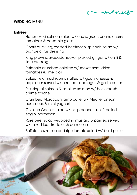**(menus)**

#### WEDDING MENU

#### **Entrees**

Hot smoked salmon salad w/ chats, green beans, cherry tomatoes & balsamic glaze

Confit duck leg, roasted beetroot & spinach salad w/ orange citrus dressing

King prawns, avocado, rocket, pickled ginger w/ chilli & lime dressing

Pistachio crumbed chicken w/ rocket, semi dried tomatoes & lime aioli

Baked field mushrooms stuffed w/ goats cheese & capsicum served w/ charred asparagus & garlic butter

Pressing of salmon & smoked salmon w/ horseradish crème fraiche

Crumbed Moroccan lamb cutlet w/ Mediterranean cous cous & mint yoghurt

Chicken Caesar salad w/ crisp pancetta, soft boiled egg & parmesan

Rare beef salad wrapped in mustard & parsley, served w/ mixed leaf, truffle oil & parmesan

Buffalo mozzarella and ripe tomato salad w/ basil pesto

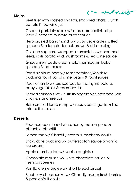**(menus)**

#### **Mains**

Beef fillet with roasted shallots, smashed chats, Dutch carrots & red wine jus

Charred pork loin steak w/ mash, broccolini, crisp leeks & seeded mustard butter sauce

Herb crusted barramundi w/ baby vegetables, wilted spinach & a tomato, fennel, prawn & dill dressing

Chicken supreme wrapped in prosciutto w/ creamed leeks, rosti potato, wild mushrooms & red wine sauce

Gnocchi w/ pesto cream, wild mushrooms, baby spinach & parmesan

Roast sirloin of beef w/ roast potatoes, Yorkshire pudding, roast carrots, fine beans & roast juices

Rack of lamb w/ braised puy lentils, thyme potato, baby vegetables & rosemary Jus

Seared salmon fillet w/ stir fry vegetables, steamed Bok choy & star anise Jus

Herb crusted lamb rump w/ mash, confit garlic & fine ratatouille sauce

#### **Desserts**

Poached pear in red wine, honey mascarpone & pistachio biscoitti

Lemon tart w/ Chantilly cream & raspberry coulis

Sticky date pudding w/ butterscotch sauce & vanilla ice cream

Apple crumble tart w/ vanilla anglaise

Chocolate mousse w/ white chocolate sauce & fresh raspberries

Vanilla crème brulee w/ short bread biscuit

Blueberry cheesecake w/ Chantilly cream fresh berries & passionfruit coulis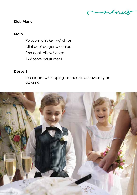

# Kids Menu

# Main

Popcorn chicken w/ chips Mini beef burger w/ chips Fish cocktails w/ chips 1/2 serve adult meal

#### **Dessert**

Ice cream w/ topping - chocolate, strawberry or caramel

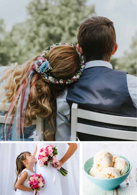



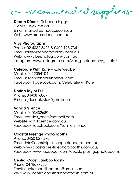**(recommended suppliers)**

Dream Décor - Rebecca Higgs Mobile: 0425 258 630 Email: mail@dreamdecor.com.au Web: www.dreamdecor.com.au

# VIBE Photography

Phone: 02 4332 8426 & 0402 123 734 Email: info@vibephotography.com.au Web: www.vibephotography.com.au instagram: www.instagram.com/vibe\_photography\_studio/

#### Celebrate With Kate – Kate Webber

Mobile: 0412054104 Email: k.tylerwebber@hotmail.com Facebook: Facebook.com/CelebratewithKate

#### Dorian Taylor DJ

Phone: 0490816067 Email: djdoriantaylor@gmail.com

# Vanilla S\_ence

Mobile: 0403432689 Email: Vanillas\_ence@hotmail.com Website: vanillasence.com.au Facebook: facebook.com/Vanilla S\_ence

# Coastal Prestige Photobooths

Phone: 0450 027 270 Email: info@coastalprestigephotobooths.com.au Web: www.coastalprestigephotobooths.com.au/ Facebook: www.facebook.com/coastalprestigephotobooths

#### Central Coast Bamboo Toasts

Phone: 0478677905 Email: centralcoastbamboo@gmail.com Web: www.centralcoastbambootoasts.com.au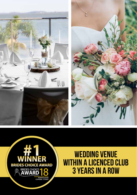



# Wedding Venue WITHIN A LICENCED CLUB 3 years in a row